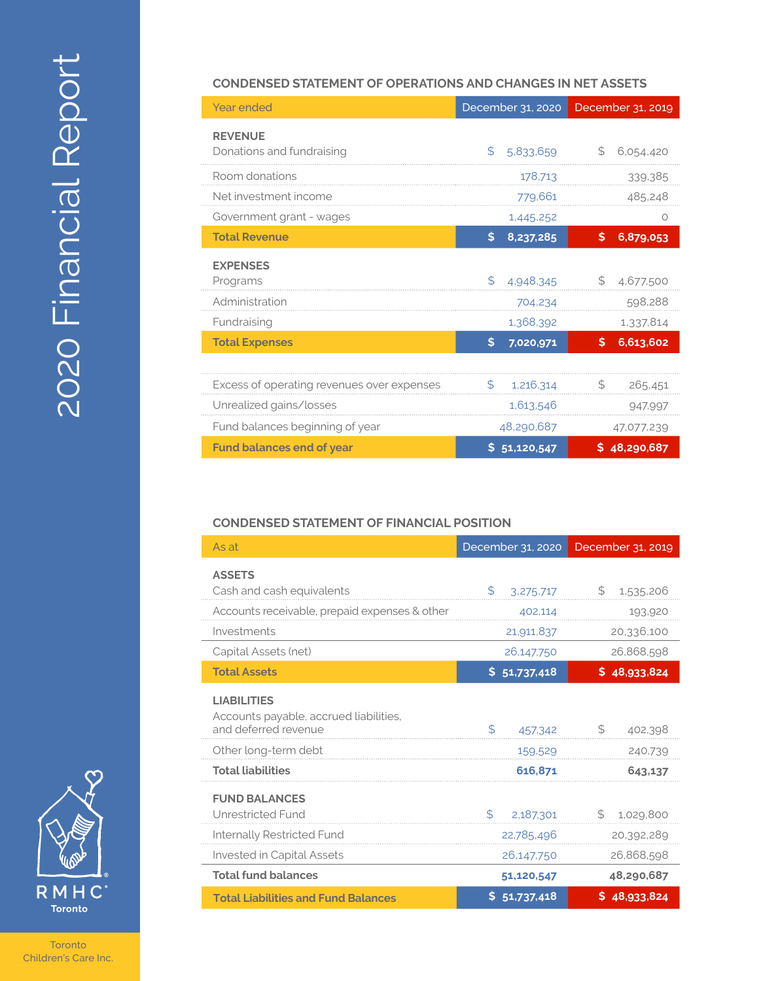

#### **Toronto** Children's Care Inc.

#### **CONDENSED STATEMENT OF OPERATIONS AND CHANGES IN NET ASSETS**

| <b>Year ended</b>                          | December 31, 2020 | December 31, 2019 |
|--------------------------------------------|-------------------|-------------------|
| <b>REVENUE</b>                             |                   |                   |
| Donations and fundraising                  | \$<br>5,833,659   | \$<br>6,054,420   |
| Room donations                             | 178,713           | 339,385           |
| Net investment income                      | 779,661           | 485,248           |
| Government grant - wages                   | 1,445,252         | Ο                 |
| <b>Total Revenue</b>                       | \$<br>8,237,285   | 6,879,053<br>S    |
| <b>EXPENSES</b>                            |                   |                   |
| Programs                                   | \$<br>4,948,345   | \$<br>4,677,500   |
| Administration                             | 704,234           | 598,288           |
| Fundraising                                | 1,368,392         | 1,337,814         |
| <b>Total Expenses</b>                      | \$.<br>7,020,971  | 6,613,602<br>\$   |
|                                            |                   |                   |
| Excess of operating revenues over expenses | S<br>1,216,314    | S<br>265,451      |
| Unrealized gains/losses                    | 1,613,546         | 947,997           |
| Fund balances beginning of year            | 48,290,687        | 47,077,239        |
| <b>Fund balances end of year</b>           | \$<br>51,120,547  | \$48,290,687      |

### **CONDENSED STATEMENT OF FINANCIAL POSITION**

| As at                                                                                | December 31, 2020 | December 31, 2019 |
|--------------------------------------------------------------------------------------|-------------------|-------------------|
| <b>ASSETS</b><br>Cash and cash equivalents                                           | \$<br>3,275,717   | \$<br>1,535,206   |
| Accounts receivable, prepaid expenses & other                                        | 402,114           | 193,920           |
| Investments                                                                          | 21,911,837        | 20,336,100        |
| Capital Assets (net)                                                                 | 26,147,750        | 26,868,598        |
| <b>Total Assets</b>                                                                  | \$<br>51,737,418  | \$48,933,824      |
| <b>LIABILITIES</b><br>Accounts payable, accrued liabilities,<br>and deferred revenue | \$<br>457,342     | \$<br>402,398     |
| Other long-term debt                                                                 | 159,529           | 240,739           |
| <b>Total liabilities</b>                                                             | 616.871           | 643.137           |
| <b>FUND BALANCES</b><br>Unrestricted Fund                                            | \$<br>2,187,301   | \$<br>1,029,800   |
| Internally Restricted Fund                                                           | 22,785,496        | 20,392,289        |
| <b>Invested in Capital Assets</b>                                                    | 26,147,750        | 26,868,598        |
| <b>Total fund balances</b>                                                           | 51,120,547        | 48,290,687        |
| <b>Total Liabilities and Fund Balances</b>                                           | \$51,737,418      | \$48,933,824      |